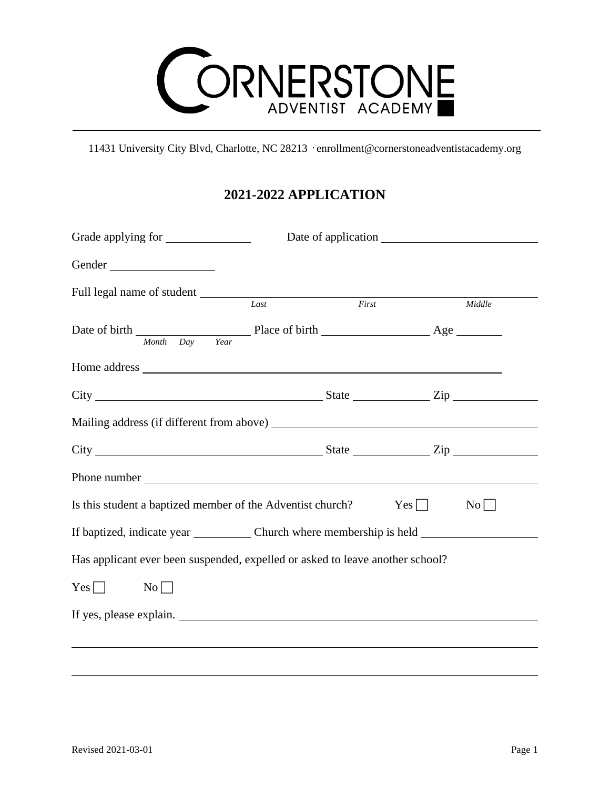

11431 University City Blvd, Charlotte, NC 28213 · enrollment@cornerstoneadventistacademy.org

## **2021-2022 APPLICATION**

| Gender                                                                                                                                         |      |       |        |  |
|------------------------------------------------------------------------------------------------------------------------------------------------|------|-------|--------|--|
| Full legal name of student                                                                                                                     | Last | First | Middle |  |
| Date of birth $\frac{M_{\text{onth}} - D_{\text{ay}}}{M_{\text{onth}} - D_{\text{ay}}}$ Place of birth $\frac{M_{\text{out}}}{M_{\text{out}}}$ |      |       |        |  |
|                                                                                                                                                |      |       |        |  |
| $City$ $City$ $Zip$                                                                                                                            |      |       |        |  |
|                                                                                                                                                |      |       |        |  |
|                                                                                                                                                |      |       |        |  |
|                                                                                                                                                |      |       |        |  |
| Is this student a baptized member of the Adventist church?<br>$Yes \Box$<br>No                                                                 |      |       |        |  |
| If baptized, indicate year Church where membership is held _____________________                                                               |      |       |        |  |
| Has applicant ever been suspended, expelled or asked to leave another school?                                                                  |      |       |        |  |
| $Yes$ $\Box$<br>No                                                                                                                             |      |       |        |  |
| If yes, please explain.                                                                                                                        |      |       |        |  |
|                                                                                                                                                |      |       |        |  |
|                                                                                                                                                |      |       |        |  |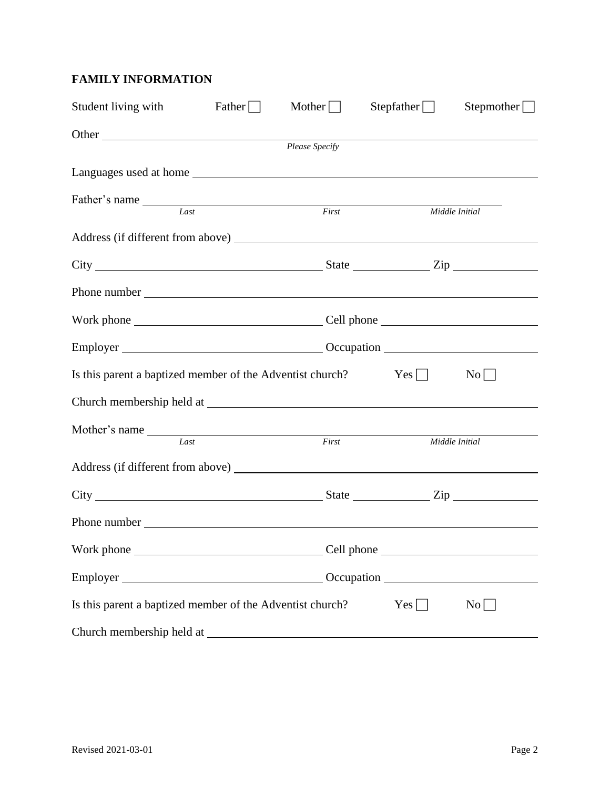## **FAMILY INFORMATION**

| Student living with                                                                                                                                                                                                            | Father $\Box$ | Mother $\Box$  | Stepfather $\Box$ | Stepmother $\Box$ |
|--------------------------------------------------------------------------------------------------------------------------------------------------------------------------------------------------------------------------------|---------------|----------------|-------------------|-------------------|
| Other                                                                                                                                                                                                                          |               | Please Specify |                   |                   |
| Languages used at home                                                                                                                                                                                                         |               |                |                   |                   |
| Father's name Last                                                                                                                                                                                                             |               | First          |                   | Middle Initial    |
|                                                                                                                                                                                                                                |               |                |                   |                   |
| $City$ $City$ $Right$ $\_$ $Zip$                                                                                                                                                                                               |               |                |                   |                   |
|                                                                                                                                                                                                                                |               |                |                   |                   |
|                                                                                                                                                                                                                                |               |                |                   |                   |
|                                                                                                                                                                                                                                |               |                |                   |                   |
| Is this parent a baptized member of the Adventist church?<br>$Yes \Box$<br>$\rm{No}$                                                                                                                                           |               |                |                   |                   |
|                                                                                                                                                                                                                                |               |                |                   |                   |
| Last                                                                                                                                                                                                                           |               | First          |                   | Middle Initial    |
| Address (if different from above) No. 1996. The state of the state of the state of the state of the state of the state of the state of the state of the state of the state of the state of the state of the state of the state |               |                |                   |                   |
| $City$ $City$ $Zip$                                                                                                                                                                                                            |               |                |                   |                   |
|                                                                                                                                                                                                                                |               |                |                   |                   |
|                                                                                                                                                                                                                                |               |                |                   |                   |
| Employer Construction Communication Communication Communication Communication Communication Communication Communication Communication Communication Communication Communication Communication Communication Communication Comm |               |                |                   |                   |
| Is this parent a baptized member of the Adventist church?                                                                                                                                                                      |               |                | $Yes \Box$        | No                |
|                                                                                                                                                                                                                                |               |                |                   |                   |